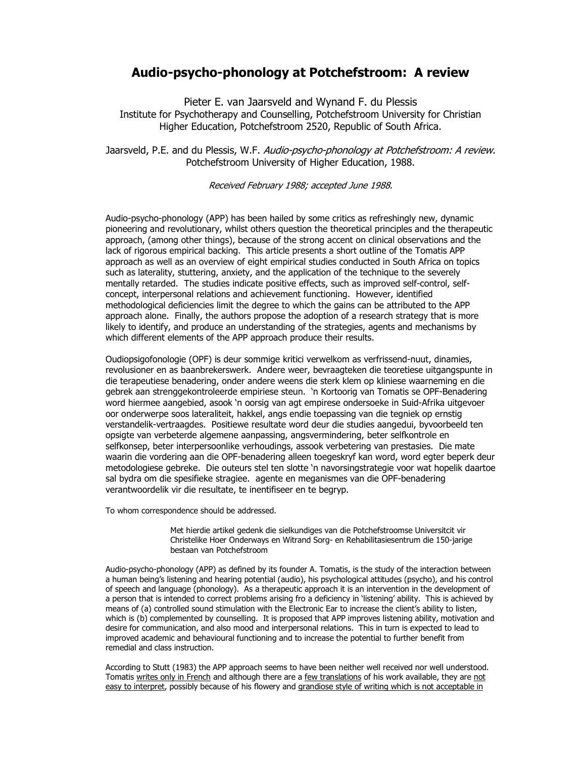# Audio-psycho-phonology at Potchefstroom: A review

Pieter E. van Jaarsveld and Wynand F. du Plessis Institute for Psychotherapy and Counselling, Potchefstroom University for Christian Higher Education, Potchefstroom 2520, Republic of South Africa.

Jaarsveld, P.E. and du Plessis, W.F. Audio-psycho-phonology at Potchefstroom: A review. Potchefstroom University of Higher Education, 1988.

Received February 1988; accepted June 1988.

Audio-psycho-phonology (APP) has been hailed by some critics as refreshingly new, dynamic pioneering and revolutionary, whilst others question the theoretical principles and the therapeutic approach, (among other things), because of the strong accent on clinical observations and the lack of rigorous empirical backing. This article presents a short outline of the Tomatis APP approach as well as an overview of eight empirical studies conducted in South Africa on topics such as laterality, stuttering, anxiety, and the application of the technique to the severely mentally retarded. The studies indicate positive effects, such as improved self-control, selfconcept, interpersonal relations and achievement functioning. However, identified methodological deficiencies limit the degree to which the gains can be attributed to the APP approach alone. Finally, the authors propose the adoption of a research strategy that is more likely to identify, and produce an understanding of the strategies, agents and mechanisms by which different elements of the APP approach produce their results.

Oudiopsigofonologie (OPF) is deur sommige kritici verwelkom as verfrissend-nuut, dinamies, revolusioner en as baanbrekerswerk. Andere weer, bevraagteken die teoretiese uitgangspunte in die terapeutiese benadering, onder andere weens die sterk klem op kliniese waarneming en die gebrek aan strenggekontroleerde empiriese steun. 'n Kortoorig van Tomatis se OPF-Benadering word hiermee aangebied, asook 'n oorsig van agt empirese ondersoeke in Suid-Afrika uitgevoer oor onderwerpe soos lateraliteit, hakkel, angs endie toepassing van die tegniek op ernstig verstandelik-vertraagdes. Positiewe resultate word deur die studies aangedui, byvoorbeeld ten opsigte van verbeterde algemene aanpassing, angsvermindering, beter selfkontrole en selfkonsep, beter interpersoonlike verhoudings, assook verbetering van prestasies. Die mate waarin die vordering aan die OPF-benadering alleen toegeskryf kan word, word egter beperk deur metodologiese gebreke. Die outeurs stel ten slotte 'n navorsingstrategie voor wat hopelik daartoe sal bydra om die spesifieke stragiee. agente en meganismes van die OPF-benadering verantwoordelik vir die resultate, te inentifiseer en te begryp.

To whom correspondence should be addressed.

Met hierdie artikel gedenk die sielkundiges van die Potchefstroomse Universitcit vir Christelike Hoer Onderways en Witrand Sorg- en Rehabilitasiesentrum die 150-jarige bestaan van Potchefstroom

Audio-psycho-phonology (APP) as defined by its founder A. Tomatis, is the study of the interaction between a human being's listening and hearing potential (audio), his psychological attitudes (psycho), and his control of speech and language (phonology). As a therapeutic approach it is an intervention in the development of a person that is intended to correct problems arising fro a deficiency in 'listening' ability. This is achieved by means of (a) controlled sound stimulation with the Electronic Ear to increase the client's ability to listen, which is (b) complemented by counselling. It is proposed that APP improves listening ability, motivation and desire for communication, and also mood and interpersonal relations. This in turn is expected to lead to improved academic and behavioural functioning and to increase the potential to further benefit from remedial and class instruction.

According to Stutt (1983) the APP approach seems to have been neither well received nor well understood. Tomatis writes only in French and although there are a few translations of his work available, they are not easy to interpret, possibly because of his flowery and grandiose style of writing which is not acceptable in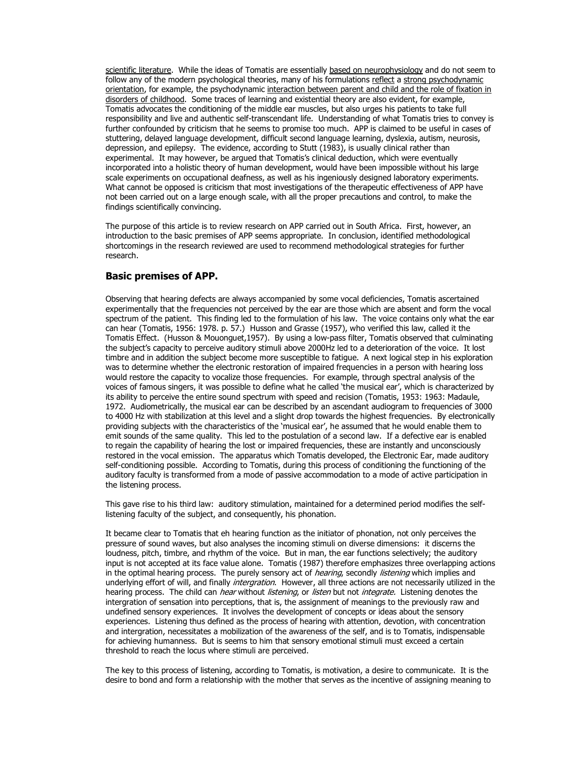scientific literature. While the ideas of Tomatis are essentially based on neurophysiology and do not seem to follow any of the modern psychological theories, many of his formulations reflect a strong psychodynamic orientation, for example, the psychodynamic interaction between parent and child and the role of fixation in disorders of childhood. Some traces of learning and existential theory are also evident, for example, Tomatis advocates the conditioning of the middle ear muscles, but also urges his patients to take full responsibility and live and authentic self-transcendant life. Understanding of what Tomatis tries to convey is further confounded by criticism that he seems to promise too much. APP is claimed to be useful in cases of stuttering, delayed language development, difficult second language learning, dyslexia, autism, neurosis, depression, and epilepsy. The evidence, according to Stutt (1983), is usually clinical rather than experimental. It may however, be argued that Tomatis's clinical deduction, which were eventually incorporated into a holistic theory of human development, would have been impossible without his large scale experiments on occupational deafness, as well as his ingeniously designed laboratory experiments. What cannot be opposed is criticism that most investigations of the therapeutic effectiveness of APP have not been carried out on a large enough scale, with all the proper precautions and control, to make the findings scientifically convincing.

The purpose of this article is to review research on APP carried out in South Africa. First, however, an introduction to the basic premises of APP seems appropriate. In conclusion, identified methodological shortcomings in the research reviewed are used to recommend methodological strategies for further research.

# Basic premises of APP.

Observing that hearing defects are always accompanied by some vocal deficiencies, Tomatis ascertained experimentally that the frequencies not perceived by the ear are those which are absent and form the vocal spectrum of the patient. This finding led to the formulation of his law. The voice contains only what the ear can hear (Tomatis, 1956: 1978. p. 57.) Husson and Grasse (1957), who verified this law, called it the Tomatis Effect. (Husson & Mouonguet,1957). By using a low-pass filter, Tomatis observed that culminating the subject's capacity to perceive auditory stimuli above 2000Hz led to a deterioration of the voice. It lost timbre and in addition the subject become more susceptible to fatigue. A next logical step in his exploration was to determine whether the electronic restoration of impaired frequencies in a person with hearing loss would restore the capacity to vocalize those frequencies. For example, through spectral analysis of the voices of famous singers, it was possible to define what he called 'the musical ear', which is characterized by its ability to perceive the entire sound spectrum with speed and recision (Tomatis, 1953: 1963: Madaule, 1972. Audiometrically, the musical ear can be described by an ascendant audiogram to frequencies of 3000 to 4000 Hz with stabilization at this level and a slight drop towards the highest frequencies. By electronically providing subjects with the characteristics of the 'musical ear', he assumed that he would enable them to emit sounds of the same quality. This led to the postulation of a second law. If a defective ear is enabled to regain the capability of hearing the lost or impaired frequencies, these are instantly and unconsciously restored in the vocal emission. The apparatus which Tomatis developed, the Electronic Ear, made auditory self-conditioning possible. According to Tomatis, during this process of conditioning the functioning of the auditory faculty is transformed from a mode of passive accommodation to a mode of active participation in the listening process.

This gave rise to his third law: auditory stimulation, maintained for a determined period modifies the selflistening faculty of the subject, and consequently, his phonation.

It became clear to Tomatis that eh hearing function as the initiator of phonation, not only perceives the pressure of sound waves, but also analyses the incoming stimuli on diverse dimensions: it discerns the loudness, pitch, timbre, and rhythm of the voice. But in man, the ear functions selectively; the auditory input is not accepted at its face value alone. Tomatis (1987) therefore emphasizes three overlapping actions in the optimal hearing process. The purely sensory act of hearing, secondly listening which implies and underlying effort of will, and finally intergration. However, all three actions are not necessarily utilized in the hearing process. The child can *hear* without *listening*, or *listen* but not *integrate*. Listening denotes the intergration of sensation into perceptions, that is, the assignment of meanings to the previously raw and undefined sensory experiences. It involves the development of concepts or ideas about the sensory experiences. Listening thus defined as the process of hearing with attention, devotion, with concentration and intergration, necessitates a mobilization of the awareness of the self, and is to Tomatis, indispensable for achieving humanness. But is seems to him that sensory emotional stimuli must exceed a certain threshold to reach the locus where stimuli are perceived.

The key to this process of listening, according to Tomatis, is motivation, a desire to communicate. It is the desire to bond and form a relationship with the mother that serves as the incentive of assigning meaning to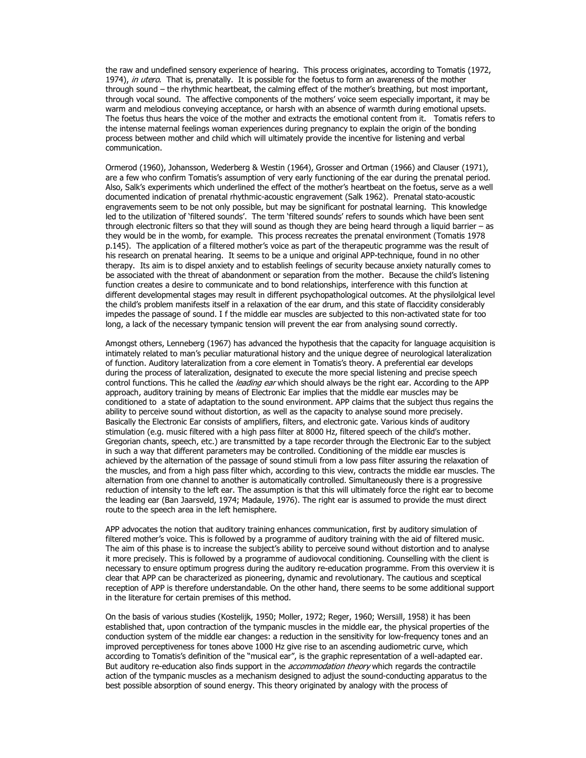the raw and undefined sensory experience of hearing. This process originates, according to Tomatis (1972, 1974), in utero. That is, prenatally. It is possible for the foetus to form an awareness of the mother through sound – the rhythmic heartbeat, the calming effect of the mother's breathing, but most important, through vocal sound. The affective components of the mothers' voice seem especially important, it may be warm and melodious conveying acceptance, or harsh with an absence of warmth during emotional upsets. The foetus thus hears the voice of the mother and extracts the emotional content from it. Tomatis refers to the intense maternal feelings woman experiences during pregnancy to explain the origin of the bonding process between mother and child which will ultimately provide the incentive for listening and verbal communication.

Ormerod (1960), Johansson, Wederberg & Westin (1964), Grosser and Ortman (1966) and Clauser (1971), are a few who confirm Tomatis's assumption of very early functioning of the ear during the prenatal period. Also, Salk's experiments which underlined the effect of the mother's heartbeat on the foetus, serve as a well documented indication of prenatal rhythmic-acoustic engravement (Salk 1962). Prenatal stato-acoustic engravements seem to be not only possible, but may be significant for postnatal learning. This knowledge led to the utilization of 'filtered sounds'. The term 'filtered sounds' refers to sounds which have been sent through electronic filters so that they will sound as though they are being heard through a liquid barrier – as they would be in the womb, for example. This process recreates the prenatal environment (Tomatis 1978 p.145). The application of a filtered mother's voice as part of the therapeutic programme was the result of his research on prenatal hearing. It seems to be a unique and original APP-technique, found in no other therapy. Its aim is to dispel anxiety and to establish feelings of security because anxiety naturally comes to be associated with the threat of abandonment or separation from the mother. Because the child's listening function creates a desire to communicate and to bond relationships, interference with this function at different developmental stages may result in different psychopathological outcomes. At the physilolgical level the child's problem manifests itself in a relaxation of the ear drum, and this state of flaccidity considerably impedes the passage of sound. I f the middle ear muscles are subjected to this non-activated state for too long, a lack of the necessary tympanic tension will prevent the ear from analysing sound correctly.

Amongst others, Lenneberg (1967) has advanced the hypothesis that the capacity for language acquisition is intimately related to man's peculiar maturational history and the unique degree of neurological lateralization of function. Auditory lateralization from a core element in Tomatis's theory. A preferential ear develops during the process of lateralization, designated to execute the more special listening and precise speech control functions. This he called the *leading ear* which should always be the right ear. According to the APP approach, auditory training by means of Electronic Ear implies that the middle ear muscles may be conditioned to a state of adaptation to the sound environment. APP claims that the subject thus regains the ability to perceive sound without distortion, as well as the capacity to analyse sound more precisely. Basically the Electronic Ear consists of amplifiers, filters, and electronic gate. Various kinds of auditory stimulation (e.g. music filtered with a high pass filter at 8000 Hz, filtered speech of the child's mother. Gregorian chants, speech, etc.) are transmitted by a tape recorder through the Electronic Ear to the subject in such a way that different parameters may be controlled. Conditioning of the middle ear muscles is achieved by the alternation of the passage of sound stimuli from a low pass filter assuring the relaxation of the muscles, and from a high pass filter which, according to this view, contracts the middle ear muscles. The alternation from one channel to another is automatically controlled. Simultaneously there is a progressive reduction of intensity to the left ear. The assumption is that this will ultimately force the right ear to become the leading ear (Ban Jaarsveld, 1974; Madaule, 1976). The right ear is assumed to provide the must direct route to the speech area in the left hemisphere.

APP advocates the notion that auditory training enhances communication, first by auditory simulation of filtered mother's voice. This is followed by a programme of auditory training with the aid of filtered music. The aim of this phase is to increase the subject's ability to perceive sound without distortion and to analyse it more precisely. This is followed by a programme of audiovocal conditioning. Counselling with the client is necessary to ensure optimum progress during the auditory re-education programme. From this overview it is clear that APP can be characterized as pioneering, dynamic and revolutionary. The cautious and sceptical reception of APP is therefore understandable. On the other hand, there seems to be some additional support in the literature for certain premises of this method.

On the basis of various studies (Kostelijk, 1950; Moller, 1972; Reger, 1960; Wersāll, 1958) it has been established that, upon contraction of the tympanic muscles in the middle ear, the physical properties of the conduction system of the middle ear changes: a reduction in the sensitivity for low-frequency tones and an improved perceptiveness for tones above 1000 Hz give rise to an ascending audiometric curve, which according to Tomatis's definition of the "musical ear", is the graphic representation of a well-adapted ear. But auditory re-education also finds support in the *accommodation theory* which regards the contractile action of the tympanic muscles as a mechanism designed to adjust the sound-conducting apparatus to the best possible absorption of sound energy. This theory originated by analogy with the process of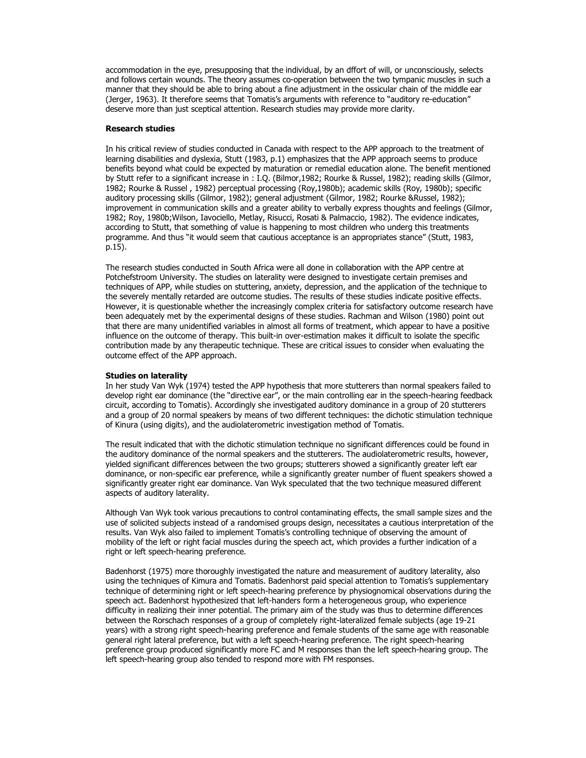accommodation in the eye, presupposing that the individual, by an dffort of will, or unconsciously, selects and follows certain wounds. The theory assumes co-operation between the two tympanic muscles in such a manner that they should be able to bring about a fine adjustment in the ossicular chain of the middle ear (Jerger, 1963). It therefore seems that Tomatis's arguments with reference to "auditory re-education" deserve more than just sceptical attention. Research studies may provide more clarity.

# Research studies

In his critical review of studies conducted in Canada with respect to the APP approach to the treatment of learning disabilities and dyslexia, Stutt (1983, p.1) emphasizes that the APP approach seems to produce benefits beyond what could be expected by maturation or remedial education alone. The benefit mentioned by Stutt refer to a significant increase in : I.Q. (Bilmor,1982; Rourke & Russel, 1982); reading skills (Gilmor, 1982; Rourke & Russel , 1982) perceptual processing (Roy,1980b); academic skills (Roy, 1980b); specific auditory processing skills (Gilmor, 1982); general adjustment (Gilmor, 1982; Rourke &Russel, 1982); improvement in communication skills and a greater ability to verbally express thoughts and feelings (Gilmor, 1982; Roy, 1980b;Wilson, Iavociello, Metlay, Risucci, Rosati & Palmaccio, 1982). The evidence indicates, according to Stutt, that something of value is happening to most children who underg this treatments programme. And thus "it would seem that cautious acceptance is an appropriates stance" (Stutt, 1983, p.15).

The research studies conducted in South Africa were all done in collaboration with the APP centre at Potchefstroom University. The studies on laterality were designed to investigate certain premises and techniques of APP, while studies on stuttering, anxiety, depression, and the application of the technique to the severely mentally retarded are outcome studies. The results of these studies indicate positive effects. However, it is questionable whether the increasingly complex criteria for satisfactory outcome research have been adequately met by the experimental designs of these studies. Rachman and Wilson (1980) point out that there are many unidentified variables in almost all forms of treatment, which appear to have a positive influence on the outcome of therapy. This built-in over-estimation makes it difficult to isolate the specific contribution made by any therapeutic technique. These are critical issues to consider when evaluating the outcome effect of the APP approach.

#### Studies on laterality

In her study Van Wyk (1974) tested the APP hypothesis that more stutterers than normal speakers failed to develop right ear dominance (the "directive ear", or the main controlling ear in the speech-hearing feedback circuit, according to Tomatis). Accordingly she investigated auditory dominance in a group of 20 stutterers and a group of 20 normal speakers by means of two different techniques: the dichotic stimulation technique of Kinura (using digits), and the audiolaterometric investigation method of Tomatis.

The result indicated that with the dichotic stimulation technique no significant differences could be found in the auditory dominance of the normal speakers and the stutterers. The audiolaterometric results, however, yielded significant differences between the two groups; stutterers showed a significantly greater left ear dominance, or non-specific ear preference, while a significantly greater number of fluent speakers showed a significantly greater right ear dominance. Van Wyk speculated that the two technique measured different aspects of auditory laterality.

Although Van Wyk took various precautions to control contaminating effects, the small sample sizes and the use of solicited subjects instead of a randomised groups design, necessitates a cautious interpretation of the results. Van Wyk also failed to implement Tomatis's controlling technique of observing the amount of mobility of the left or right facial muscles during the speech act, which provides a further indication of a right or left speech-hearing preference.

Badenhorst (1975) more thoroughly investigated the nature and measurement of auditory laterality, also using the techniques of Kimura and Tomatis. Badenhorst paid special attention to Tomatis's supplementary technique of determining right or left speech-hearing preference by physiognomical observations during the speech act. Badenhorst hypothesized that left-handers form a heterogeneous group, who experience difficulty in realizing their inner potential. The primary aim of the study was thus to determine differences between the Rorschach responses of a group of completely right-lateralized female subjects (age 19-21 years) with a strong right speech-hearing preference and female students of the same age with reasonable general right lateral preference, but with a left speech-hearing preference. The right speech-hearing preference group produced significantly more FC and M responses than the left speech-hearing group. The left speech-hearing group also tended to respond more with FM responses.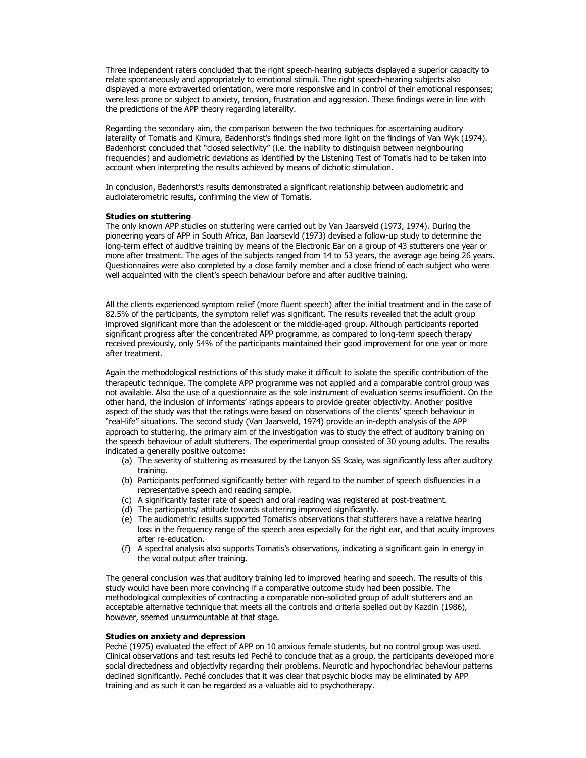Three independent raters concluded that the right speech-hearing subjects displayed a superior capacity to relate spontaneously and appropriately to emotional stimuli. The right speech-hearing subjects also displayed a more extraverted orientation, were more responsive and in control of their emotional responses; were less prone or subject to anxiety, tension, frustration and aggression. These findings were in line with the predictions of the APP theory regarding laterality.

Regarding the secondary aim, the comparison between the two techniques for ascertaining auditory laterality of Tomatis and Kimura, Badenhorst's findings shed more light on the findings of Van Wyk (1974). Badenhorst concluded that "closed selectivity" (i.e. the inability to distinguish between neighbouring frequencies) and audiometric deviations as identified by the Listening Test of Tomatis had to be taken into account when interpreting the results achieved by means of dichotic stimulation.

In conclusion, Badenhorst's results demonstrated a significant relationship between audiometric and audiolaterometric results, confirming the view of Tomatis.

# Studies on stuttering

The only known APP studies on stuttering were carried out by Van Jaarsveld (1973, 1974). During the pioneering years of APP in South Africa, Ban Jaarsevld (1973) devised a follow-up study to determine the long-term effect of auditive training by means of the Electronic Ear on a group of 43 stutterers one year or more after treatment. The ages of the subjects ranged from 14 to 53 years, the average age being 26 years. Questionnaires were also completed by a close family member and a close friend of each subject who were well acquainted with the client's speech behaviour before and after auditive training.

All the clients experienced symptom relief (more fluent speech) after the initial treatment and in the case of 82.5% of the participants, the symptom relief was significant. The results revealed that the adult group improved significant more than the adolescent or the middle-aged group. Although participants reported significant progress after the concentrated APP programme, as compared to long-term speech therapy received previously, only 54% of the participants maintained their good improvement for one year or more after treatment.

Again the methodological restrictions of this study make it difficult to isolate the specific contribution of the therapeutic technique. The complete APP programme was not applied and a comparable control group was not available. Also the use of a questionnaire as the sole instrument of evaluation seems insufficient. On the other hand, the inclusion of informants' ratings appears to provide greater objectivity. Another positive aspect of the study was that the ratings were based on observations of the clients' speech behaviour in "real-life" situations. The second study (Van Jaarsveld, 1974) provide an in-depth analysis of the APP approach to stuttering, the primary aim of the investigation was to study the effect of auditory training on the speech behaviour of adult stutterers. The experimental group consisted of 30 young adults. The results indicated a generally positive outcome:

- (a) The severity of stuttering as measured by the Lanyon SS Scale, was significantly less after auditory training.
- (b) Participants performed significantly better with regard to the number of speech disfluencies in a representative speech and reading sample.
- (c) A significantly faster rate of speech and oral reading was registered at post-treatment.
- (d) The participants/ attitude towards stuttering improved significantly.
- (e) The audiometric results supported Tomatis's observations that stutterers have a relative hearing loss in the frequency range of the speech area especially for the right ear, and that acuity improves after re-education.
- (f) A spectral analysis also supports Tomatis's observations, indicating a significant gain in energy in the vocal output after training.

The general conclusion was that auditory training led to improved hearing and speech. The results of this study would have been more convincing if a comparative outcome study had been possible. The methodological complexities of contracting a comparable non-solicited group of adult stutterers and an acceptable alternative technique that meets all the controls and criteria spelled out by Kazdin (1986), however, seemed unsurmountable at that stage.

### Studies on anxiety and depression

Peché (1975) evaluated the effect of APP on 10 anxious female students, but no control group was used. Clinical observations and test results led Peché to conclude that as a group, the participants developed more social directedness and objectivity regarding their problems. Neurotic and hypochondriac behaviour patterns declined significantly. Peché concludes that it was clear that psychic blocks may be eliminated by APP training and as such it can be regarded as a valuable aid to psychotherapy.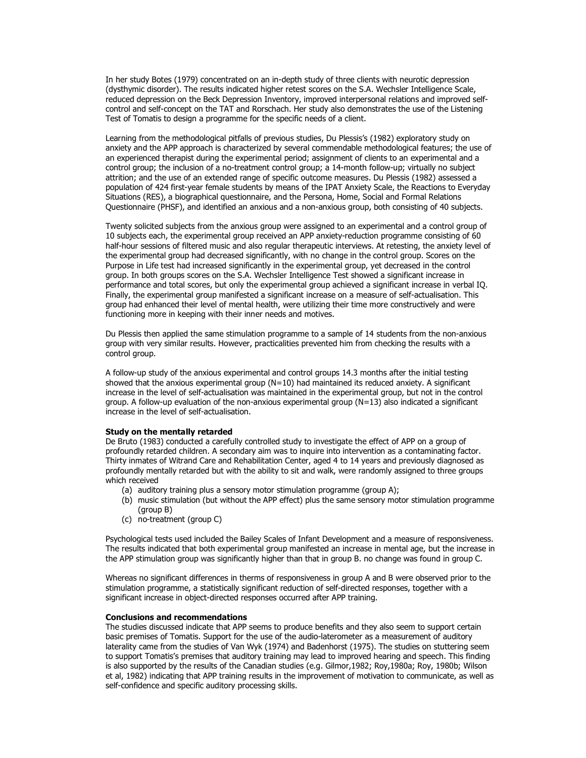In her study Botes (1979) concentrated on an in-depth study of three clients with neurotic depression (dysthymic disorder). The results indicated higher retest scores on the S.A. Wechsler Intelligence Scale, reduced depression on the Beck Depression Inventory, improved interpersonal relations and improved selfcontrol and self-concept on the TAT and Rorschach. Her study also demonstrates the use of the Listening Test of Tomatis to design a programme for the specific needs of a client.

Learning from the methodological pitfalls of previous studies, Du Plessis's (1982) exploratory study on anxiety and the APP approach is characterized by several commendable methodological features; the use of an experienced therapist during the experimental period; assignment of clients to an experimental and a control group; the inclusion of a no-treatment control group; a 14-month follow-up; virtually no subject attrition; and the use of an extended range of specific outcome measures. Du Plessis (1982) assessed a population of 424 first-year female students by means of the IPAT Anxiety Scale, the Reactions to Everyday Situations (RES), a biographical questionnaire, and the Persona, Home, Social and Formal Relations Questionnaire (PHSF), and identified an anxious and a non-anxious group, both consisting of 40 subjects.

Twenty solicited subjects from the anxious group were assigned to an experimental and a control group of 10 subjects each, the experimental group received an APP anxiety-reduction programme consisting of 60 half-hour sessions of filtered music and also regular therapeutic interviews. At retesting, the anxiety level of the experimental group had decreased significantly, with no change in the control group. Scores on the Purpose in Life test had increased significantly in the experimental group, yet decreased in the control group. In both groups scores on the S.A. Wechsler Intelligence Test showed a significant increase in performance and total scores, but only the experimental group achieved a significant increase in verbal IQ. Finally, the experimental group manifested a significant increase on a measure of self-actualisation. This group had enhanced their level of mental health, were utilizing their time more constructively and were functioning more in keeping with their inner needs and motives.

Du Plessis then applied the same stimulation programme to a sample of 14 students from the non-anxious group with very similar results. However, practicalities prevented him from checking the results with a control group.

A follow-up study of the anxious experimental and control groups 14.3 months after the initial testing showed that the anxious experimental group  $(N=10)$  had maintained its reduced anxiety. A significant increase in the level of self-actualisation was maintained in the experimental group, but not in the control group. A follow-up evaluation of the non-anxious experimental group  $(N=13)$  also indicated a significant increase in the level of self-actualisation.

#### Study on the mentally retarded

De Bruto (1983) conducted a carefully controlled study to investigate the effect of APP on a group of profoundly retarded children. A secondary aim was to inquire into intervention as a contaminating factor. Thirty inmates of Witrand Care and Rehabilitation Center, aged 4 to 14 years and previously diagnosed as profoundly mentally retarded but with the ability to sit and walk, were randomly assigned to three groups which received

- (a) auditory training plus a sensory motor stimulation programme (group A);
- (b) music stimulation (but without the APP effect) plus the same sensory motor stimulation programme (group B)
- (c) no-treatment (group C)

Psychological tests used included the Bailey Scales of Infant Development and a measure of responsiveness. The results indicated that both experimental group manifested an increase in mental age, but the increase in the APP stimulation group was significantly higher than that in group B. no change was found in group C.

Whereas no significant differences in therms of responsiveness in group A and B were observed prior to the stimulation programme, a statistically significant reduction of self-directed responses, together with a significant increase in object-directed responses occurred after APP training.

# Conclusions and recommendations

The studies discussed indicate that APP seems to produce benefits and they also seem to support certain basic premises of Tomatis. Support for the use of the audio-laterometer as a measurement of auditory laterality came from the studies of Van Wyk (1974) and Badenhorst (1975). The studies on stuttering seem to support Tomatis's premises that auditory training may lead to improved hearing and speech. This finding is also supported by the results of the Canadian studies (e.g. Gilmor,1982; Roy,1980a; Roy, 1980b; Wilson et al, 1982) indicating that APP training results in the improvement of motivation to communicate, as well as self-confidence and specific auditory processing skills.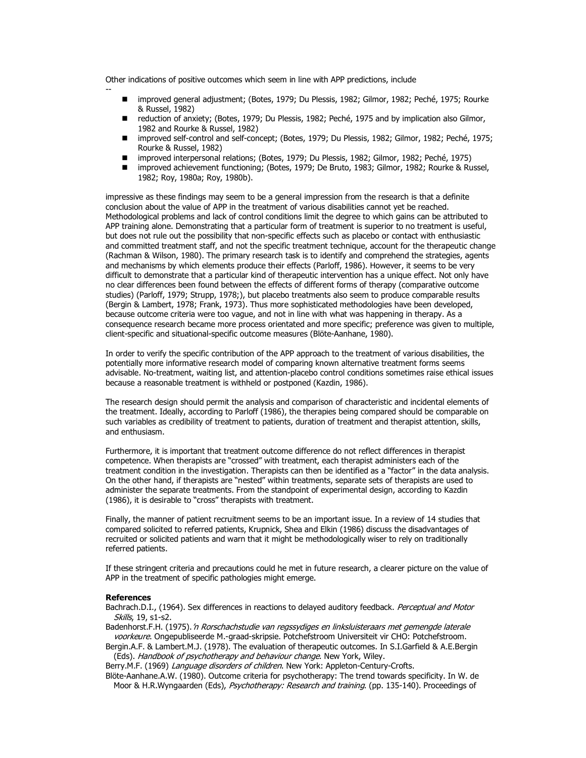Other indications of positive outcomes which seem in line with APP predictions, include

- improved general adjustment; (Botes, 1979; Du Plessis, 1982; Gilmor, 1982; Peché, 1975; Rourke & Russel, 1982)
- reduction of anxiety; (Botes, 1979; Du Plessis, 1982; Peché, 1975 and by implication also Gilmor, 1982 and Rourke & Russel, 1982)
- improved self-control and self-concept; (Botes, 1979; Du Plessis, 1982; Gilmor, 1982; Peché, 1975; Rourke & Russel, 1982)
- improved interpersonal relations; (Botes, 1979; Du Plessis, 1982; Gilmor, 1982; Peché, 1975)
- improved achievement functioning; (Botes, 1979; De Bruto, 1983; Gilmor, 1982; Rourke & Russel, 1982; Roy, 1980a; Roy, 1980b).

impressive as these findings may seem to be a general impression from the research is that a definite conclusion about the value of APP in the treatment of various disabilities cannot yet be reached. Methodological problems and lack of control conditions limit the degree to which gains can be attributed to APP training alone. Demonstrating that a particular form of treatment is superior to no treatment is useful, but does not rule out the possibility that non-specific effects such as placebo or contact with enthusiastic and committed treatment staff, and not the specific treatment technique, account for the therapeutic change (Rachman & Wilson, 1980). The primary research task is to identify and comprehend the strategies, agents and mechanisms by which elements produce their effects (Parloff, 1986). However, it seems to be very difficult to demonstrate that a particular kind of therapeutic intervention has a unique effect. Not only have no clear differences been found between the effects of different forms of therapy (comparative outcome studies) (Parloff, 1979; Strupp, 1978;), but placebo treatments also seem to produce comparable results (Bergin & Lambert, 1978; Frank, 1973). Thus more sophisticated methodologies have been developed, because outcome criteria were too vague, and not in line with what was happening in therapy. As a consequence research became more process orientated and more specific; preference was given to multiple, client-specific and situational-specific outcome measures (Blöte-Aanhane, 1980).

In order to verify the specific contribution of the APP approach to the treatment of various disabilities, the potentially more informative research model of comparing known alternative treatment forms seems advisable. No-treatment, waiting list, and attention-placebo control conditions sometimes raise ethical issues because a reasonable treatment is withheld or postponed (Kazdin, 1986).

The research design should permit the analysis and comparison of characteristic and incidental elements of the treatment. Ideally, according to Parloff (1986), the therapies being compared should be comparable on such variables as credibility of treatment to patients, duration of treatment and therapist attention, skills, and enthusiasm.

Furthermore, it is important that treatment outcome difference do not reflect differences in therapist competence. When therapists are "crossed" with treatment, each therapist administers each of the treatment condition in the investigation. Therapists can then be identified as a "factor" in the data analysis. On the other hand, if therapists are "nested" within treatments, separate sets of therapists are used to administer the separate treatments. From the standpoint of experimental design, according to Kazdin (1986), it is desirable to "cross" therapists with treatment.

Finally, the manner of patient recruitment seems to be an important issue. In a review of 14 studies that compared solicited to referred patients, Krupnick, Shea and Elkin (1986) discuss the disadvantages of recruited or solicited patients and warn that it might be methodologically wiser to rely on traditionally referred patients.

If these stringent criteria and precautions could he met in future research, a clearer picture on the value of APP in the treatment of specific pathologies might emerge.

### References

--

Bachrach.D.I., (1964). Sex differences in reactions to delayed auditory feedback. Perceptual and Motor Skills, 19, s1-s2.

Badenhorst.F.H. (1975). 'n Rorschachstudie van regssydiges en linksluisteraars met gemengde laterale voorkeure. Ongepubliseerde M.-graad-skripsie. Potchefstroom Universiteit vir CHO: Potchefstroom.

Bergin.A.F. & Lambert.M.J. (1978). The evaluation of therapeutic outcomes. In S.I.Garfield & A.E.Bergin (Eds). Handbook of psychotherapy and behaviour change. New York, Wiley.

Berry.M.F. (1969) Language disorders of children. New York: Appleton-Century-Crofts.

Blöte-Aanhane.A.W. (1980). Outcome criteria for psychotherapy: The trend towards specificity. In W. de Moor & H.R.Wyngaarden (Eds), Psychotherapy: Research and training. (pp. 135-140). Proceedings of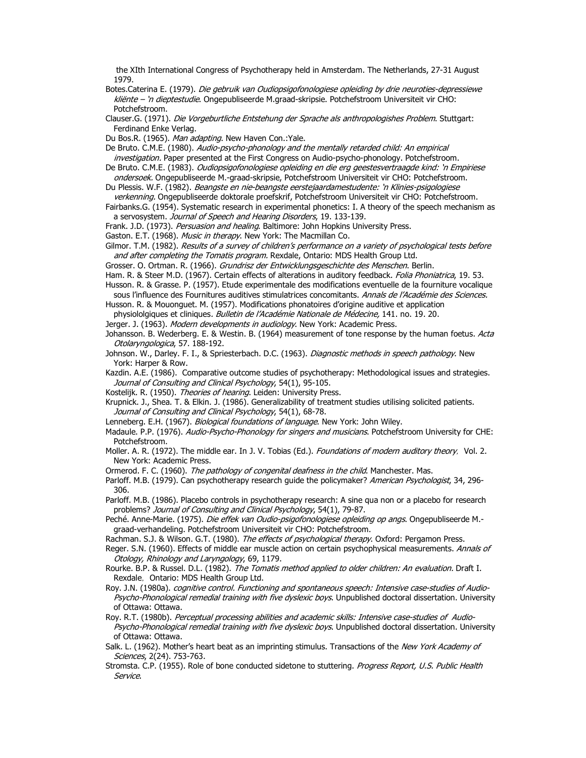the XIth International Congress of Psychotherapy held in Amsterdam. The Netherlands, 27-31 August 1979.

Botes.Caterina E. (1979). Die gebruik van Oudiopsigofonologiese opleiding by drie neuroties-depressiewe kliënte - 'n dieptestudie. Ongepubliseerde M.graad-skripsie. Potchefstroom Universiteit vir CHO: Potchefstroom.

- Clauser.G. (1971). Die Vorgeburtliche Entstehung der Sprache als anthropologishes Problem. Stuttgart: Ferdinand Enke Verlag.
- Du Bos.R. (1965). Man adapting. New Haven Con.: Yale.

De Bruto. C.M.E. (1980). Audio-psycho-phonology and the mentally retarded child: An empirical investigation. Paper presented at the First Congress on Audio-psycho-phonology. Potchefstroom.

- De Bruto. C.M.E. (1983). Oudiopsigofonologiese opleiding en die erg geestesvertraagde kind: 'n Empiriese ondersoek. Ongepubliseerde M.-graad-skripsie, Potchefstroom Universiteit vir CHO: Potchefstroom.
- Du Plessis. W.F. (1982). Beangste en nie-beangste eerstejaardamestudente: 'n Klinies-psigologiese verkenning. Ongepubliseerde doktorale proefskrif, Potchefstroom Universiteit vir CHO: Potchefstroom.
- Fairbanks.G. (1954). Systematic research in experimental phonetics: I. A theory of the speech mechanism as a servosystem. Journal of Speech and Hearing Disorders, 19. 133-139.
- Frank. J.D. (1973). Persuasion and healing. Baltimore: John Hopkins University Press.
- Gaston. E.T. (1968). Music in therapy. New York: The Macmillan Co.
- Gilmor. T.M. (1982). Results of a survey of children's performance on a variety of psychological tests before and after completing the Tomatis program. Rexdale, Ontario: MDS Health Group Ltd.
- Grosser, O. Ortman, R. (1966). *Grundrisz der Entwicklungsgeschichte des Menschen*, Berlin.
- Ham. R. & Steer M.D. (1967). Certain effects of alterations in auditory feedback. Folia Phoniatrica, 19. 53.
- Husson. R. & Grasse. P. (1957). Etude experimentale des modifications eventuelle de la fourniture vocalique sous l'influence des Fournitures auditives stimulatrices concomitants. Annals de l'Académie des Sciences.
- Husson. R. & Mouonguet. M. (1957). Modifications phonatoires d'origine auditive et application physiololgiques et cliniques. Bulletin de l'Académie Nationale de Médecine, 141. no. 19. 20.
- Jerger. J. (1963). *Modern developments in audiology*. New York: Academic Press.
- Johansson. B. Wederberg. E. & Westin. B. (1964) measurement of tone response by the human foetus. Acta Otolaryngologica, 57. 188-192.
- Johnson. W., Darley. F. I., & Spriesterbach. D.C. (1963). Diagnostic methods in speech pathology. New York: Harper & Row.
- Kazdin. A.E. (1986). Comparative outcome studies of psychotherapy: Methodological issues and strategies. Journal of Consulting and Clinical Psychology, 54(1), 95-105.
- Kostelijk. R. (1950). Theories of hearing. Leiden: University Press.
- Krupnick. J., Shea. T. & Elkin. J. (1986). Generalizability of treatment studies utilising solicited patients. Journal of Consulting and Clinical Psychology, 54(1), 68-78.
- Lenneberg. E.H. (1967). *Biological foundations of language*. New York: John Wiley.
- Madaule. P.P. (1976). Audio-Psycho-Phonology for singers and musicians. Potchefstroom University for CHE: Potchefstroom.
- Moller. A. R. (1972). The middle ear. In J. V. Tobias (Ed.). *Foundations of modern auditory theory*, Vol. 2. New York: Academic Press.
- Ormerod. F. C. (1960). The pathology of congenital deafness in the child. Manchester. Mas.
- Parloff. M.B. (1979). Can psychotherapy research quide the policymaker? American Psychologist, 34, 296-306.
- Parloff. M.B. (1986). Placebo controls in psychotherapy research: A sine qua non or a placebo for research problems? Journal of Consulting and Clinical Psychology, 54(1), 79-87.
- Peché. Anne-Marie. (1975). Die effek van Oudio-psigofonologiese opleiding op angs. Ongepubliseerde M.graad-verhandeling. Potchefstroom Universiteit vir CHO: Potchefstroom.
- Rachman. S.J. & Wilson. G.T. (1980). The effects of psychological therapy. Oxford: Pergamon Press.
- Reger. S.N. (1960). Effects of middle ear muscle action on certain psychophysical measurements. Annals of Otology, Rhinology and Laryngology, 69, 1179.
- Rourke. B.P. & Russel. D.L. (1982). The Tomatis method applied to older children: An evaluation. Draft I. Rexdale, Ontario: MDS Health Group Ltd.
- Roy. J.N. (1980a). cognitive control. Functioning and spontaneous speech: Intensive case-studies of Audio-Psycho-Phonological remedial training with five dyslexic boys. Unpublished doctoral dissertation. University of Ottawa: Ottawa.
- Roy. R.T. (1980b). Perceptual processing abilities and academic skills: Intensive case-studies of Audio-Psycho-Phonological remedial training with five dyslexic boys. Unpublished doctoral dissertation. University of Ottawa: Ottawa.
- Salk. L. (1962). Mother's heart beat as an imprinting stimulus. Transactions of the New York Academy of Sciences, 2(24). 753-763.
- Stromsta. C.P. (1955). Role of bone conducted sidetone to stuttering. *Progress Report, U.S. Public Health* Service.